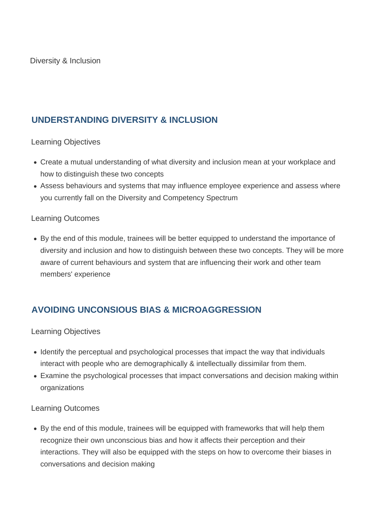## **UNDERSTANDING DIVERSITY & INCLUSION**

Learning Objectives

- Create a mutual understanding of what diversity and inclusion mean at your workplace and how to distinguish these two concepts
- Assess behaviours and systems that may influence employee experience and assess where you currently fall on the Diversity and Competency Spectrum

#### Learning Outcomes

By the end of this module, trainees will be better equipped to understand the importance of diversity and inclusion and how to distinguish between these two concepts. They will be more aware of current behaviours and system that are influencing their work and other team members' experience

# **AVOIDING UNCONSIOUS BIAS & MICROAGGRESSION**

## Learning Objectives

- Identify the perceptual and psychological processes that impact the way that individuals interact with people who are demographically & intellectually dissimilar from them.
- Examine the psychological processes that impact conversations and decision making within organizations

#### Learning Outcomes

By the end of this module, trainees will be equipped with frameworks that will help them recognize their own unconscious bias and how it affects their perception and their interactions. They will also be equipped with the steps on how to overcome their biases in conversations and decision making